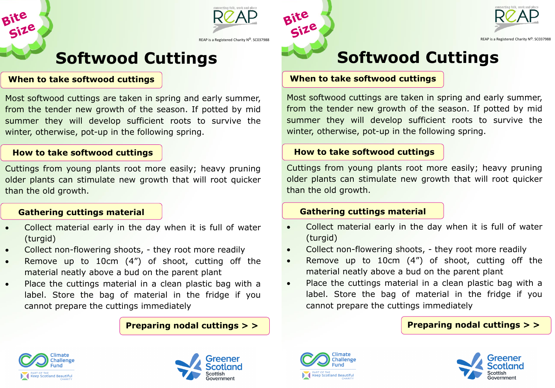

### **Softwood Cuttings**

#### **When to take softwood cuttings**

Bite<br>Size

Most softwood cuttings are taken in spring and early summer, from the tender new growth of the season. If potted by mid summer they will develop sufficient roots to survive the winter, otherwise, pot-up in the following spring.

#### **How to take softwood cuttings**

Cuttings from young plants root more easily; heavy pruning older plants can stimulate new growth that will root quicker than the old growth.

#### **Gathering cuttings material**

- Collect material early in the day when it is full of water (turgid)
- Collect non-flowering shoots, they root more readily
- Remove up to 10cm (4") of shoot, cutting off the material neatly above a bud on the parent plant
- Place the cuttings material in a clean plastic bag with a label. Store the bag of material in the fridge if you cannot prepare the cuttings immediately

**Preparing nodal cuttings > >**









REAP is a Registered Charity N<sup>O</sup>. SC03798

# **Softwood Cuttings**

#### **When to take softwood cuttings**

Most softwood cuttings are taken in spring and early summer, from the tender new growth of the season. If potted by mid summer they will develop sufficient roots to survive the winter, otherwise, pot-up in the following spring.

#### **How to take softwood cuttings**

Cuttings from young plants root more easily; heavy pruning older plants can stimulate new growth that will root quicker than the old growth.

#### **Gathering cuttings material**

- Collect material early in the day when it is full of water (turgid)
- Collect non-flowering shoots, they root more readily
- Remove up to 10cm (4") of shoot, cutting off the material neatly above a bud on the parent plant
- Place the cuttings material in a clean plastic bag with a label. Store the bag of material in the fridge if you cannot prepare the cuttings immediately

#### **Preparing nodal cuttings > >**